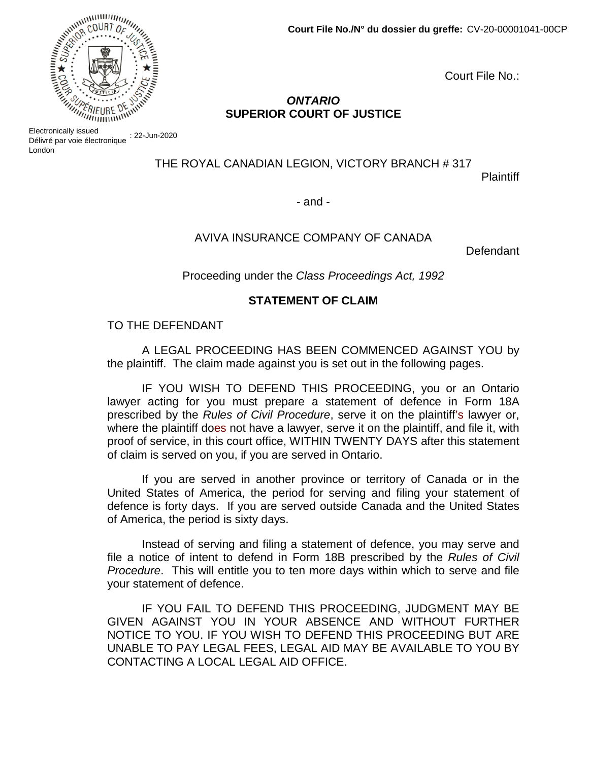Court File No.:

# *ONTARIO* **SUPERIOR COURT OF JUSTICE**

Electronically issued<br>Délivré par voie électronique : 22-Jun-2020 Electronically issued London

THE ROYAL CANADIAN LEGION, VICTORY BRANCH # 317

**Plaintiff** 

- and -

## AVIVA INSURANCE COMPANY OF CANADA

Defendant

Proceeding under the *Class Proceedings Act, 1992* 

## **STATEMENT OF CLAIM**

#### TO THE DEFENDANT

A LEGAL PROCEEDING HAS BEEN COMMENCED AGAINST YOU by the plaintiff. The claim made against you is set out in the following pages.

IF YOU WISH TO DEFEND THIS PROCEEDING, you or an Ontario lawyer acting for you must prepare a statement of defence in Form 18A prescribed by the *Rules of Civil Procedure*, serve it on the plaintiff's lawyer or, where the plaintiff does not have a lawyer, serve it on the plaintiff, and file it, with proof of service, in this court office, WITHIN TWENTY DAYS after this statement of claim is served on you, if you are served in Ontario.

If you are served in another province or territory of Canada or in the United States of America, the period for serving and filing your statement of defence is forty days. If you are served outside Canada and the United States of America, the period is sixty days.

Instead of serving and filing a statement of defence, you may serve and file a notice of intent to defend in Form 18B prescribed by the *Rules of Civil Procedure*. This will entitle you to ten more days within which to serve and file your statement of defence.

IF YOU FAIL TO DEFEND THIS PROCEEDING, JUDGMENT MAY BE GIVEN AGAINST YOU IN YOUR ABSENCE AND WITHOUT FURTHER NOTICE TO YOU. IF YOU WISH TO DEFEND THIS PROCEEDING BUT ARE UNABLE TO PAY LEGAL FEES, LEGAL AID MAY BE AVAILABLE TO YOU BY CONTACTING A LOCAL LEGAL AID OFFICE.

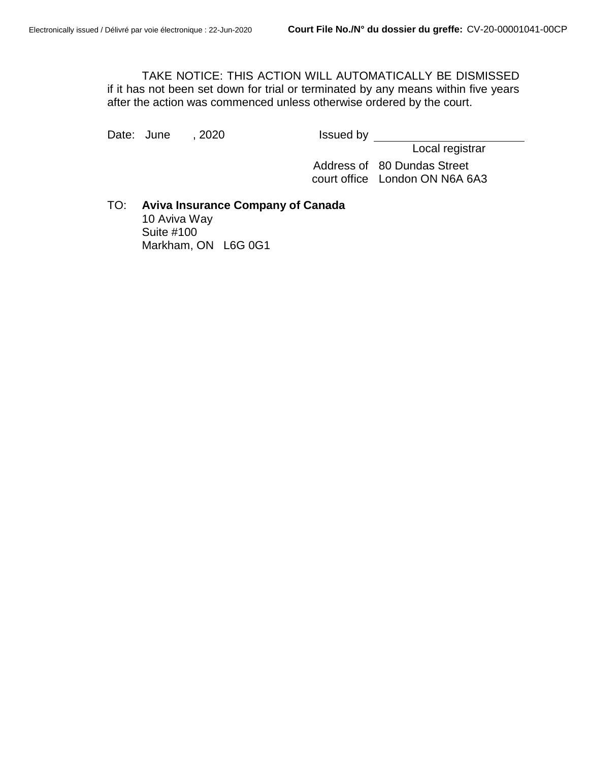TAKE NOTICE: THIS ACTION WILL AUTOMATICALLY BE DISMISSED if it has not been set down for trial or terminated by any means within five years after the action was commenced unless otherwise ordered by the court.

Date: June , 2020 **Issued by** 

Local registrar

Address of 80 Dundas Street court office London ON N6A 6A3

TO: **Aviva Insurance Company of Canada** 10 Aviva Way Suite #100 Markham, ON L6G 0G1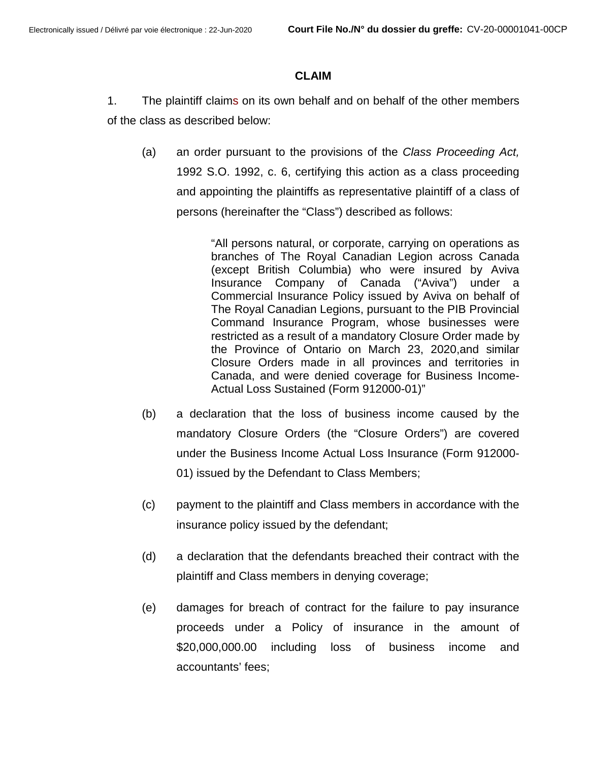## **CLAIM**

- 1. The plaintiff claims on its own behalf and on behalf of the other members of the class as described below:
	- (a) an order pursuant to the provisions of the *Class Proceeding Act,* 1992 S.O. 1992, c. 6, certifying this action as a class proceeding and appointing the plaintiffs as representative plaintiff of a class of persons (hereinafter the "Class") described as follows:

"All persons natural, or corporate, carrying on operations as branches of The Royal Canadian Legion across Canada (except British Columbia) who were insured by Aviva Insurance Company of Canada ("Aviva") under a Commercial Insurance Policy issued by Aviva on behalf of The Royal Canadian Legions, pursuant to the PIB Provincial Command Insurance Program, whose businesses were restricted as a result of a mandatory Closure Order made by the Province of Ontario on March 23, 2020,and similar Closure Orders made in all provinces and territories in Canada, and were denied coverage for Business Income-Actual Loss Sustained (Form 912000-01)"

- (b) a declaration that the loss of business income caused by the mandatory Closure Orders (the "Closure Orders") are covered under the Business Income Actual Loss Insurance (Form 912000- 01) issued by the Defendant to Class Members;
- (c) payment to the plaintiff and Class members in accordance with the insurance policy issued by the defendant;
- (d) a declaration that the defendants breached their contract with the plaintiff and Class members in denying coverage;
- (e) damages for breach of contract for the failure to pay insurance proceeds under a Policy of insurance in the amount of \$20,000,000.00 including loss of business income and accountants' fees;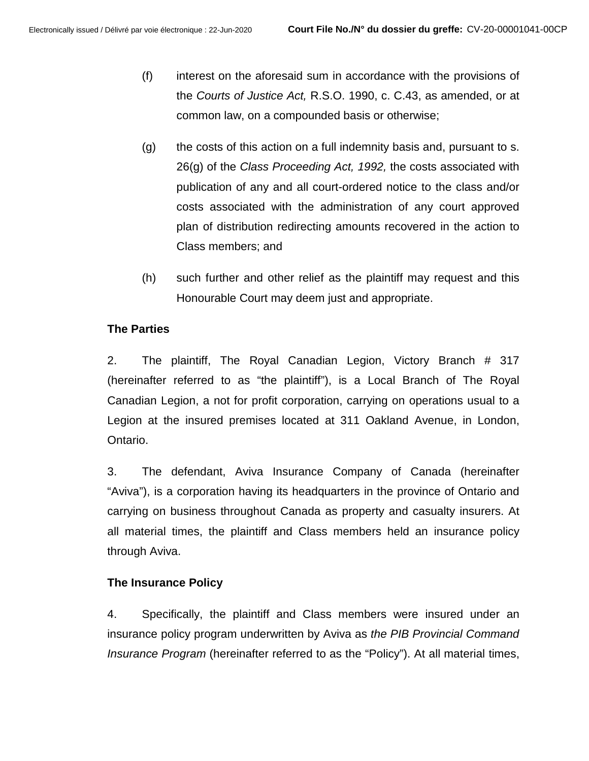- (f) interest on the aforesaid sum in accordance with the provisions of the *Courts of Justice Act,* R.S.O. 1990, c. C.43, as amended, or at common law, on a compounded basis or otherwise;
- (g) the costs of this action on a full indemnity basis and, pursuant to s. 26(g) of the *Class Proceeding Act, 1992,* the costs associated with publication of any and all court-ordered notice to the class and/or costs associated with the administration of any court approved plan of distribution redirecting amounts recovered in the action to Class members; and
- (h) such further and other relief as the plaintiff may request and this Honourable Court may deem just and appropriate.

# **The Parties**

2. The plaintiff, The Royal Canadian Legion, Victory Branch # 317 (hereinafter referred to as "the plaintiff"), is a Local Branch of The Royal Canadian Legion, a not for profit corporation, carrying on operations usual to a Legion at the insured premises located at 311 Oakland Avenue, in London, Ontario.

3. The defendant, Aviva Insurance Company of Canada (hereinafter "Aviva"), is a corporation having its headquarters in the province of Ontario and carrying on business throughout Canada as property and casualty insurers. At all material times, the plaintiff and Class members held an insurance policy through Aviva.

## **The Insurance Policy**

4. Specifically, the plaintiff and Class members were insured under an insurance policy program underwritten by Aviva as *the PIB Provincial Command Insurance Program* (hereinafter referred to as the "Policy"). At all material times,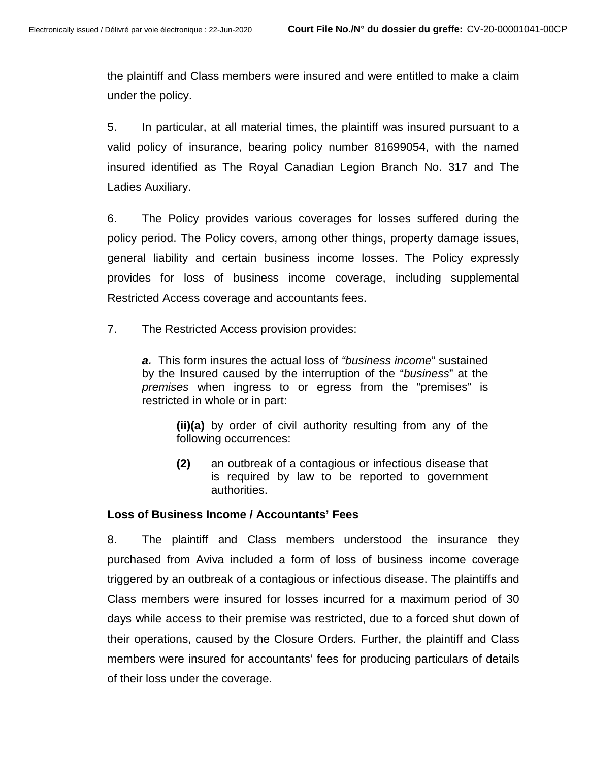the plaintiff and Class members were insured and were entitled to make a claim under the policy.

5. In particular, at all material times, the plaintiff was insured pursuant to a valid policy of insurance, bearing policy number 81699054, with the named insured identified as The Royal Canadian Legion Branch No. 317 and The Ladies Auxiliary.

6. The Policy provides various coverages for losses suffered during the policy period. The Policy covers, among other things, property damage issues, general liability and certain business income losses. The Policy expressly provides for loss of business income coverage, including supplemental Restricted Access coverage and accountants fees.

7. The Restricted Access provision provides:

*a.* This form insures the actual loss of *"business income*" sustained by the Insured caused by the interruption of the "*business*" at the *premises* when ingress to or egress from the "premises" is restricted in whole or in part:

**(ii)(a)** by order of civil authority resulting from any of the following occurrences:

**(2)** an outbreak of a contagious or infectious disease that is required by law to be reported to government authorities.

#### **Loss of Business Income / Accountants' Fees**

8. The plaintiff and Class members understood the insurance they purchased from Aviva included a form of loss of business income coverage triggered by an outbreak of a contagious or infectious disease. The plaintiffs and Class members were insured for losses incurred for a maximum period of 30 days while access to their premise was restricted, due to a forced shut down of their operations, caused by the Closure Orders. Further, the plaintiff and Class members were insured for accountants' fees for producing particulars of details of their loss under the coverage.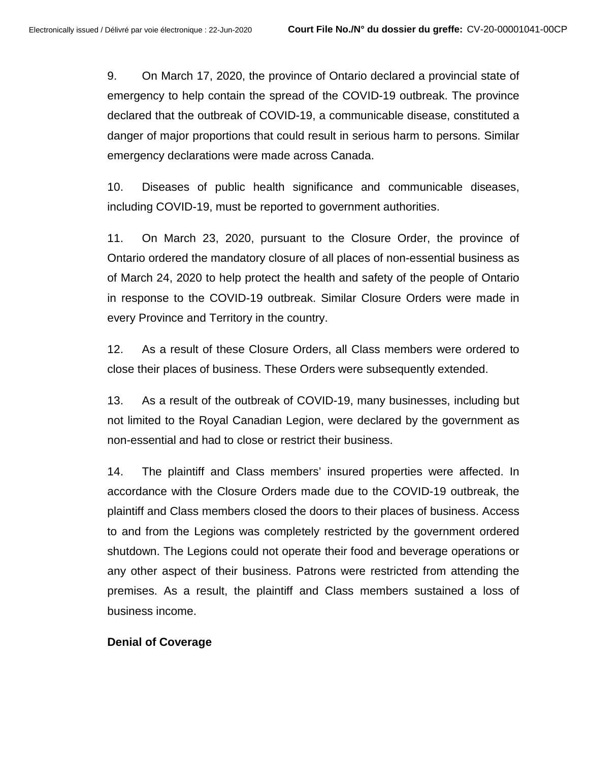9. On March 17, 2020, the province of Ontario declared a provincial state of emergency to help contain the spread of the COVID-19 outbreak. The province declared that the outbreak of COVID-19, a communicable disease, constituted a danger of major proportions that could result in serious harm to persons. Similar emergency declarations were made across Canada.

10. Diseases of public health significance and communicable diseases, including COVID-19, must be reported to government authorities.

11. On March 23, 2020, pursuant to the Closure Order, the province of Ontario ordered the mandatory closure of all places of non-essential business as of March 24, 2020 to help protect the health and safety of the people of Ontario in response to the COVID-19 outbreak. Similar Closure Orders were made in every Province and Territory in the country.

12. As a result of these Closure Orders, all Class members were ordered to close their places of business. These Orders were subsequently extended.

13. As a result of the outbreak of COVID-19, many businesses, including but not limited to the Royal Canadian Legion, were declared by the government as non-essential and had to close or restrict their business.

14. The plaintiff and Class members' insured properties were affected. In accordance with the Closure Orders made due to the COVID-19 outbreak, the plaintiff and Class members closed the doors to their places of business. Access to and from the Legions was completely restricted by the government ordered shutdown. The Legions could not operate their food and beverage operations or any other aspect of their business. Patrons were restricted from attending the premises. As a result, the plaintiff and Class members sustained a loss of business income.

#### **Denial of Coverage**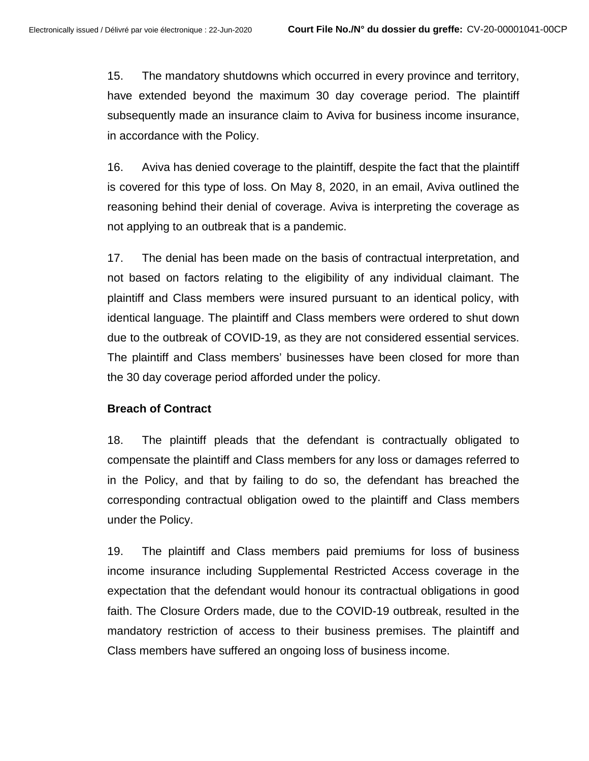15. The mandatory shutdowns which occurred in every province and territory, have extended beyond the maximum 30 day coverage period. The plaintiff subsequently made an insurance claim to Aviva for business income insurance, in accordance with the Policy.

16. Aviva has denied coverage to the plaintiff, despite the fact that the plaintiff is covered for this type of loss. On May 8, 2020, in an email, Aviva outlined the reasoning behind their denial of coverage. Aviva is interpreting the coverage as not applying to an outbreak that is a pandemic.

17. The denial has been made on the basis of contractual interpretation, and not based on factors relating to the eligibility of any individual claimant. The plaintiff and Class members were insured pursuant to an identical policy, with identical language. The plaintiff and Class members were ordered to shut down due to the outbreak of COVID-19, as they are not considered essential services. The plaintiff and Class members' businesses have been closed for more than the 30 day coverage period afforded under the policy.

## **Breach of Contract**

18. The plaintiff pleads that the defendant is contractually obligated to compensate the plaintiff and Class members for any loss or damages referred to in the Policy, and that by failing to do so, the defendant has breached the corresponding contractual obligation owed to the plaintiff and Class members under the Policy.

19. The plaintiff and Class members paid premiums for loss of business income insurance including Supplemental Restricted Access coverage in the expectation that the defendant would honour its contractual obligations in good faith. The Closure Orders made, due to the COVID-19 outbreak, resulted in the mandatory restriction of access to their business premises. The plaintiff and Class members have suffered an ongoing loss of business income.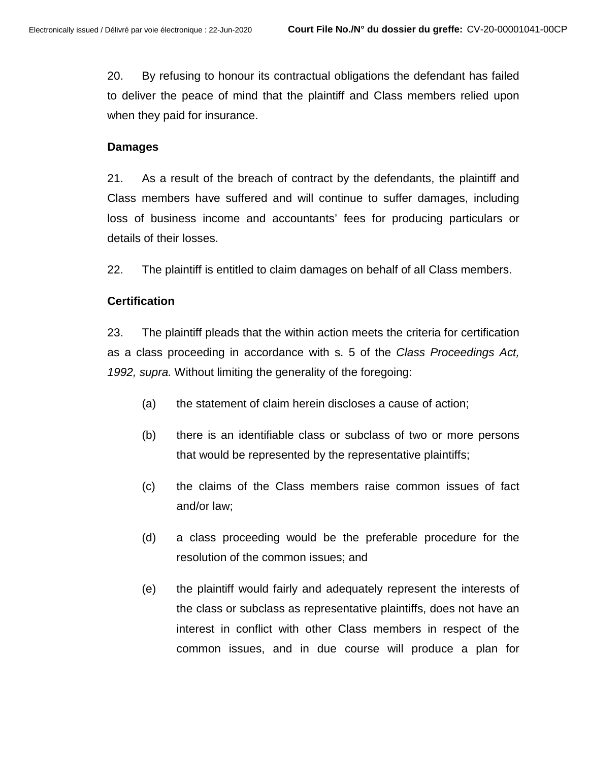20. By refusing to honour its contractual obligations the defendant has failed to deliver the peace of mind that the plaintiff and Class members relied upon when they paid for insurance.

#### **Damages**

21. As a result of the breach of contract by the defendants, the plaintiff and Class members have suffered and will continue to suffer damages, including loss of business income and accountants' fees for producing particulars or details of their losses.

22. The plaintiff is entitled to claim damages on behalf of all Class members.

## **Certification**

23. The plaintiff pleads that the within action meets the criteria for certification as a class proceeding in accordance with s. 5 of the *Class Proceedings Act, 1992, supra.* Without limiting the generality of the foregoing:

- (a) the statement of claim herein discloses a cause of action;
- (b) there is an identifiable class or subclass of two or more persons that would be represented by the representative plaintiffs;
- (c) the claims of the Class members raise common issues of fact and/or law;
- (d) a class proceeding would be the preferable procedure for the resolution of the common issues; and
- (e) the plaintiff would fairly and adequately represent the interests of the class or subclass as representative plaintiffs, does not have an interest in conflict with other Class members in respect of the common issues, and in due course will produce a plan for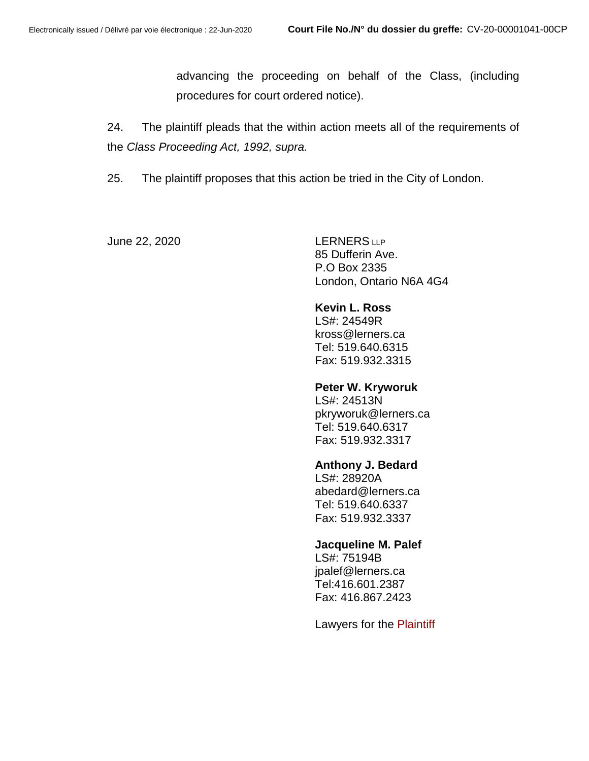advancing the proceeding on behalf of the Class, (including procedures for court ordered notice).

24. The plaintiff pleads that the within action meets all of the requirements of the *Class Proceeding Act, 1992, supra.*

25. The plaintiff proposes that this action be tried in the City of London.

June 22, 2020 LERNERS LLP

85 Dufferin Ave. P.O Box 2335 London, Ontario N6A 4G4

## **Kevin L. Ross**

LS#: 24549R kross@lerners.ca Tel: 519.640.6315 Fax: 519.932.3315

#### **Peter W. Kryworuk**

LS#: 24513N pkryworuk@lerners.ca Tel: 519.640.6317 Fax: 519.932.3317

### **Anthony J. Bedard**

LS#: 28920A abedard@lerners.ca Tel: 519.640.6337 Fax: 519.932.3337

#### **Jacqueline M. Palef**

LS#: 75194B jpalef@lerners.ca Tel:416.601.2387 Fax: 416.867.2423

Lawyers for the Plaintiff